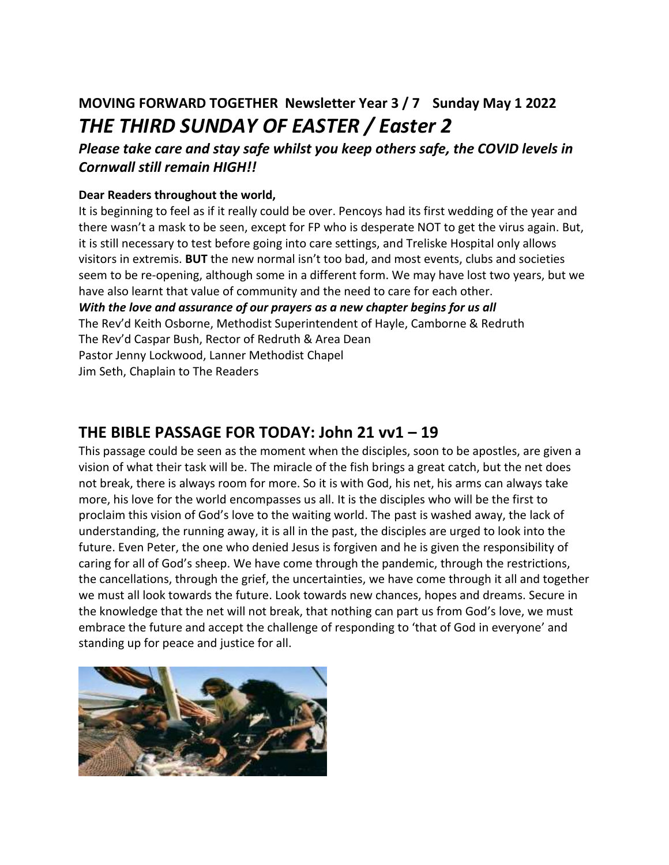# **MOVING FORWARD TOGETHER Newsletter Year 3 / 7 Sunday May 1 2022** *THE THIRD SUNDAY OF EASTER / Easter 2*

*Please take care and stay safe whilst you keep others safe, the COVID levels in Cornwall still remain HIGH!!*

### **Dear Readers throughout the world,**

It is beginning to feel as if it really could be over. Pencoys had its first wedding of the year and there wasn't a mask to be seen, except for FP who is desperate NOT to get the virus again. But, it is still necessary to test before going into care settings, and Treliske Hospital only allows visitors in extremis. **BUT** the new normal isn't too bad, and most events, clubs and societies seem to be re-opening, although some in a different form. We may have lost two years, but we have also learnt that value of community and the need to care for each other. *With the love and assurance of our prayers as a new chapter begins for us all*  The Rev'd Keith Osborne, Methodist Superintendent of Hayle, Camborne & Redruth

The Rev'd Caspar Bush, Rector of Redruth & Area Dean

Pastor Jenny Lockwood, Lanner Methodist Chapel

Jim Seth, Chaplain to The Readers

### **THE BIBLE PASSAGE FOR TODAY: John 21 vv1 – 19**

This passage could be seen as the moment when the disciples, soon to be apostles, are given a vision of what their task will be. The miracle of the fish brings a great catch, but the net does not break, there is always room for more. So it is with God, his net, his arms can always take more, his love for the world encompasses us all. It is the disciples who will be the first to proclaim this vision of God's love to the waiting world. The past is washed away, the lack of understanding, the running away, it is all in the past, the disciples are urged to look into the future. Even Peter, the one who denied Jesus is forgiven and he is given the responsibility of caring for all of God's sheep. We have come through the pandemic, through the restrictions, the cancellations, through the grief, the uncertainties, we have come through it all and together we must all look towards the future. Look towards new chances, hopes and dreams. Secure in the knowledge that the net will not break, that nothing can part us from God's love, we must embrace the future and accept the challenge of responding to 'that of God in everyone' and standing up for peace and justice for all.

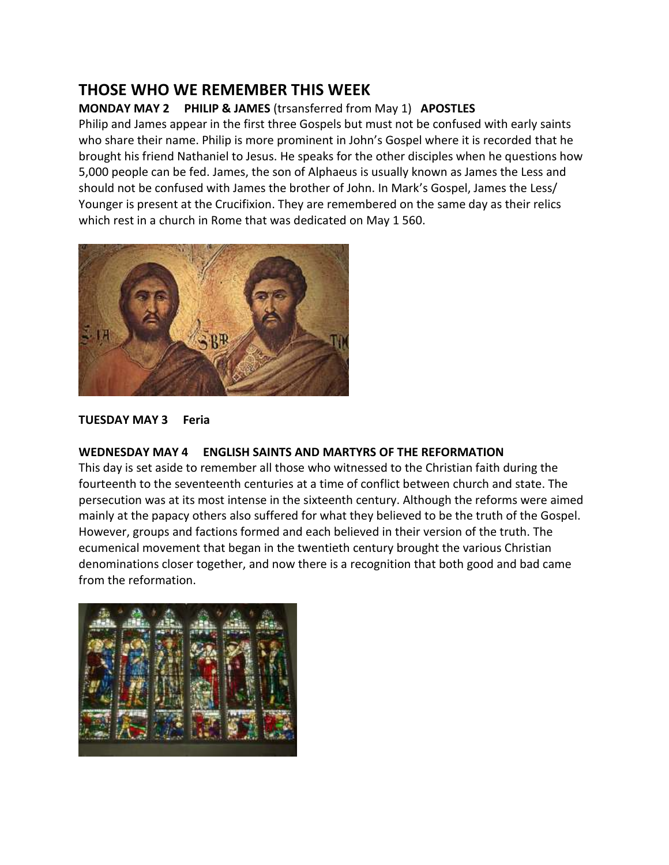### **THOSE WHO WE REMEMBER THIS WEEK**

### **MONDAY MAY 2 PHILIP & JAMES** (trsansferred from May 1) **APOSTLES**

Philip and James appear in the first three Gospels but must not be confused with early saints who share their name. Philip is more prominent in John's Gospel where it is recorded that he brought his friend Nathaniel to Jesus. He speaks for the other disciples when he questions how 5,000 people can be fed. James, the son of Alphaeus is usually known as James the Less and should not be confused with James the brother of John. In Mark's Gospel, James the Less/ Younger is present at the Crucifixion. They are remembered on the same day as their relics which rest in a church in Rome that was dedicated on May 1 560.



#### **TUESDAY MAY 3 Feria**

#### **WEDNESDAY MAY 4 ENGLISH SAINTS AND MARTYRS OF THE REFORMATION**

This day is set aside to remember all those who witnessed to the Christian faith during the fourteenth to the seventeenth centuries at a time of conflict between church and state. The persecution was at its most intense in the sixteenth century. Although the reforms were aimed mainly at the papacy others also suffered for what they believed to be the truth of the Gospel. However, groups and factions formed and each believed in their version of the truth. The ecumenical movement that began in the twentieth century brought the various Christian denominations closer together, and now there is a recognition that both good and bad came from the reformation.

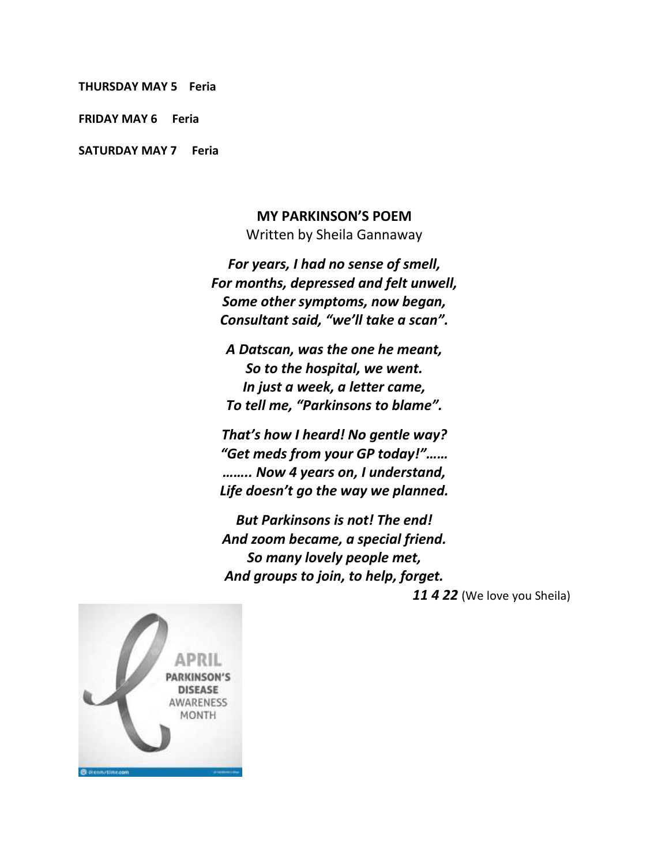**THURSDAY MAY 5 Feria** 

**FRIDAY MAY 6 Feria**

**SATURDAY MAY 7 Feria**

#### **MY PARKINSON'S POEM**

Written by Sheila Gannaway

*For years, I had no sense of smell, For months, depressed and felt unwell, Some other symptoms, now began, Consultant said, "we'll take a scan".*

*A Datscan, was the one he meant, So to the hospital, we went. In just a week, a letter came, To tell me, "Parkinsons to blame".*

*That's how I heard! No gentle way? "Get meds from your GP today!"…… …….. Now 4 years on, I understand, Life doesn't go the way we planned.*

*But Parkinsons is not! The end! And zoom became, a special friend. So many lovely people met, And groups to join, to help, forget.* 

*11 4 22* (We love you Sheila)

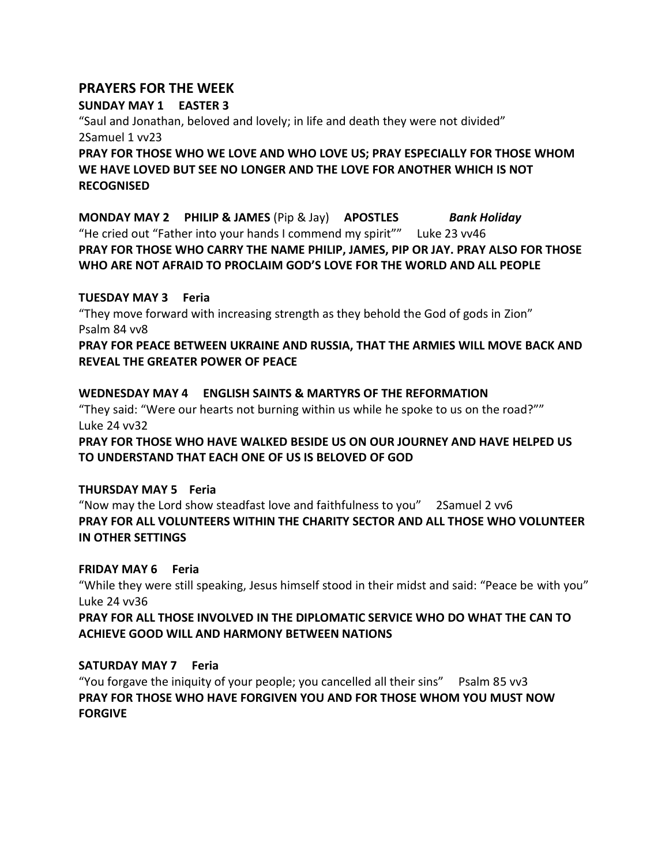### **PRAYERS FOR THE WEEK**

**SUNDAY MAY 1 EASTER 3** "Saul and Jonathan, beloved and lovely; in life and death they were not divided" 2Samuel 1 vv23 **PRAY FOR THOSE WHO WE LOVE AND WHO LOVE US; PRAY ESPECIALLY FOR THOSE WHOM WE HAVE LOVED BUT SEE NO LONGER AND THE LOVE FOR ANOTHER WHICH IS NOT** 

**RECOGNISED**

**MONDAY MAY 2 PHILIP & JAMES** (Pip & Jay) **APOSTLES** *Bank Holiday* "He cried out "Father into your hands I commend my spirit"" Luke 23 vv46 **PRAY FOR THOSE WHO CARRY THE NAME PHILIP, JAMES, PIP OR JAY. PRAY ALSO FOR THOSE WHO ARE NOT AFRAID TO PROCLAIM GOD'S LOVE FOR THE WORLD AND ALL PEOPLE**

#### **TUESDAY MAY 3 Feria**

"They move forward with increasing strength as they behold the God of gods in Zion" Psalm 84 vv8

**PRAY FOR PEACE BETWEEN UKRAINE AND RUSSIA, THAT THE ARMIES WILL MOVE BACK AND REVEAL THE GREATER POWER OF PEACE**

**WEDNESDAY MAY 4 ENGLISH SAINTS & MARTYRS OF THE REFORMATION** "They said: "Were our hearts not burning within us while he spoke to us on the road?"" Luke 24 vv32 **PRAY FOR THOSE WHO HAVE WALKED BESIDE US ON OUR JOURNEY AND HAVE HELPED US TO UNDERSTAND THAT EACH ONE OF US IS BELOVED OF GOD**

#### **THURSDAY MAY 5 Feria**

"Now may the Lord show steadfast love and faithfulness to you" 2Samuel 2 vv6 **PRAY FOR ALL VOLUNTEERS WITHIN THE CHARITY SECTOR AND ALL THOSE WHO VOLUNTEER IN OTHER SETTINGS**

#### **FRIDAY MAY 6 Feria**

"While they were still speaking, Jesus himself stood in their midst and said: "Peace be with you" Luke 24 vv36

**PRAY FOR ALL THOSE INVOLVED IN THE DIPLOMATIC SERVICE WHO DO WHAT THE CAN TO ACHIEVE GOOD WILL AND HARMONY BETWEEN NATIONS**

#### **SATURDAY MAY 7 Feria**

"You forgave the iniquity of your people; you cancelled all their sins" Psalm 85 vv3 **PRAY FOR THOSE WHO HAVE FORGIVEN YOU AND FOR THOSE WHOM YOU MUST NOW FORGIVE**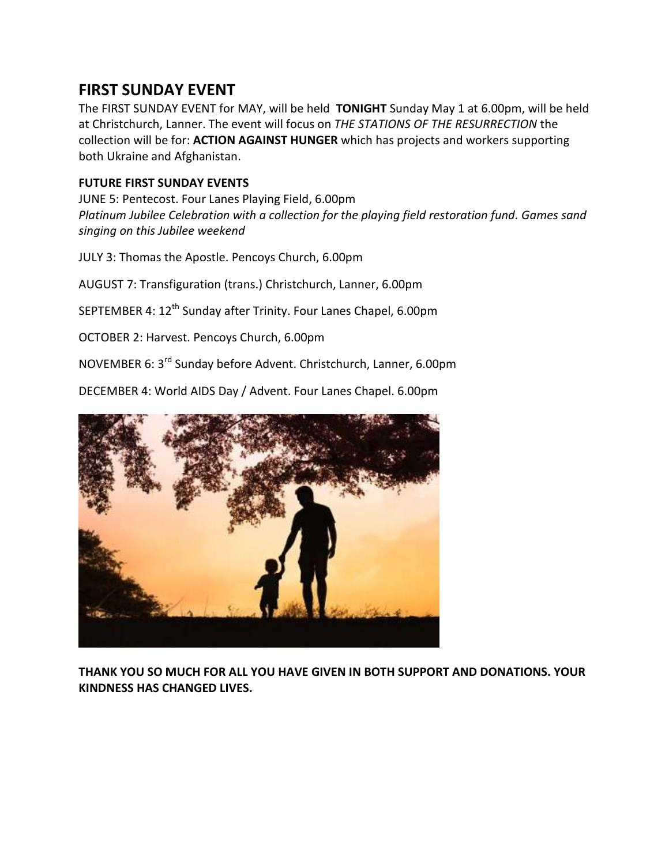### **FIRST SUNDAY EVENT**

The FIRST SUNDAY EVENT for MAY, will be held **TONIGHT** Sunday May 1 at 6.00pm, will be held at Christchurch, Lanner. The event will focus on *THE STATIONS OF THE RESURRECTION* the collection will be for: **ACTION AGAINST HUNGER** which has projects and workers supporting both Ukraine and Afghanistan.

### **FUTURE FIRST SUNDAY EVENTS**

JUNE 5: Pentecost. Four Lanes Playing Field, 6.00pm *Platinum Jubilee Celebration with a collection for the playing field restoration fund. Games sand singing on this Jubilee weekend*

JULY 3: Thomas the Apostle. Pencoys Church, 6.00pm

AUGUST 7: Transfiguration (trans.) Christchurch, Lanner, 6.00pm

SEPTEMBER 4: 12<sup>th</sup> Sunday after Trinity. Four Lanes Chapel, 6.00pm

OCTOBER 2: Harvest. Pencoys Church, 6.00pm

NOVEMBER 6: 3rd Sunday before Advent. Christchurch, Lanner, 6.00pm

DECEMBER 4: World AIDS Day / Advent. Four Lanes Chapel. 6.00pm



**THANK YOU SO MUCH FOR ALL YOU HAVE GIVEN IN BOTH SUPPORT AND DONATIONS. YOUR KINDNESS HAS CHANGED LIVES.**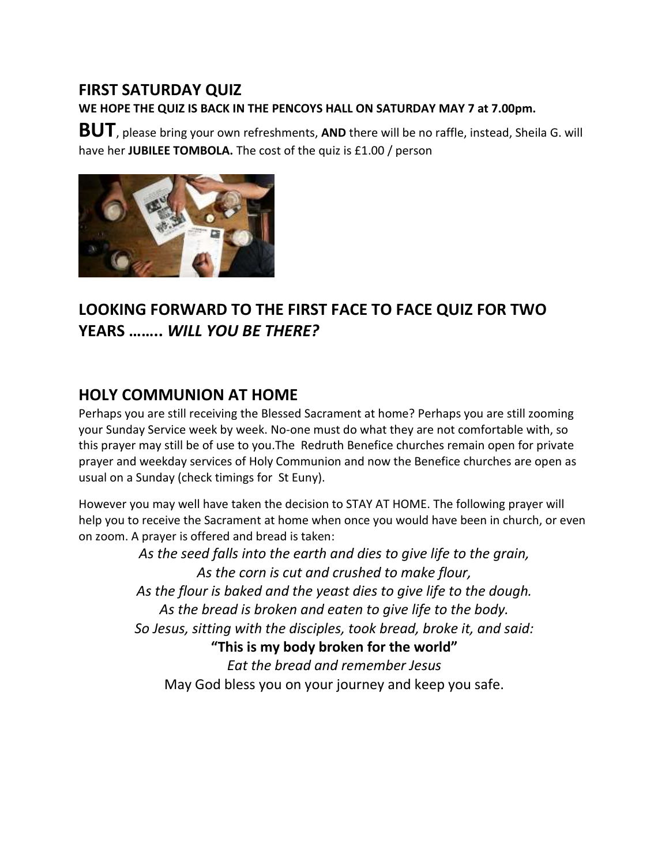### **FIRST SATURDAY QUIZ**

**WE HOPE THE QUIZ IS BACK IN THE PENCOYS HALL ON SATURDAY MAY 7 at 7.00pm.**

**BUT**, please bring your own refreshments, **AND** there will be no raffle, instead, Sheila G. will have her **JUBILEE TOMBOLA.** The cost of the quiz is £1.00 / person



# **LOOKING FORWARD TO THE FIRST FACE TO FACE QUIZ FOR TWO YEARS ……..** *WILL YOU BE THERE?*

## **HOLY COMMUNION AT HOME**

Perhaps you are still receiving the Blessed Sacrament at home? Perhaps you are still zooming your Sunday Service week by week. No-one must do what they are not comfortable with, so this prayer may still be of use to you.The Redruth Benefice churches remain open for private prayer and weekday services of Holy Communion and now the Benefice churches are open as usual on a Sunday (check timings for St Euny).

However you may well have taken the decision to STAY AT HOME. The following prayer will help you to receive the Sacrament at home when once you would have been in church, or even on zoom. A prayer is offered and bread is taken:

> *As the seed falls into the earth and dies to give life to the grain, As the corn is cut and crushed to make flour, As the flour is baked and the yeast dies to give life to the dough. As the bread is broken and eaten to give life to the body. So Jesus, sitting with the disciples, took bread, broke it, and said:* **"This is my body broken for the world"** *Eat the bread and remember Jesus* May God bless you on your journey and keep you safe.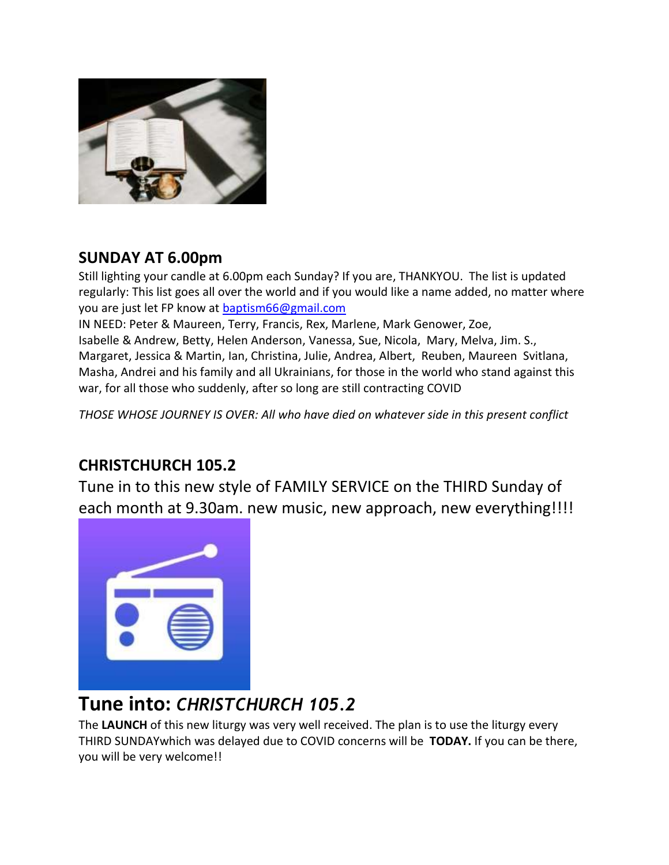

## **SUNDAY AT 6.00pm**

Still lighting your candle at 6.00pm each Sunday? If you are, THANKYOU. The list is updated regularly: This list goes all over the world and if you would like a name added, no matter where you are just let FP know at [baptism66@gmail.com](mailto:baptism66@gmail.com)

IN NEED: Peter & Maureen, Terry, Francis, Rex, Marlene, Mark Genower, Zoe, Isabelle & Andrew, Betty, Helen Anderson, Vanessa, Sue, Nicola, Mary, Melva, Jim. S., Margaret, Jessica & Martin, Ian, Christina, Julie, Andrea, Albert, Reuben, Maureen Svitlana, Masha, Andrei and his family and all Ukrainians, for those in the world who stand against this war, for all those who suddenly, after so long are still contracting COVID

*THOSE WHOSE JOURNEY IS OVER: All who have died on whatever side in this present conflict*

## **CHRISTCHURCH 105.2**

Tune in to this new style of FAMILY SERVICE on the THIRD Sunday of each month at 9.30am. new music, new approach, new everything!!!!



# **Tune into:** *CHRISTCHURCH 105.2*

The **LAUNCH** of this new liturgy was very well received. The plan is to use the liturgy every THIRD SUNDAYwhich was delayed due to COVID concerns will be **TODAY.** If you can be there, you will be very welcome!!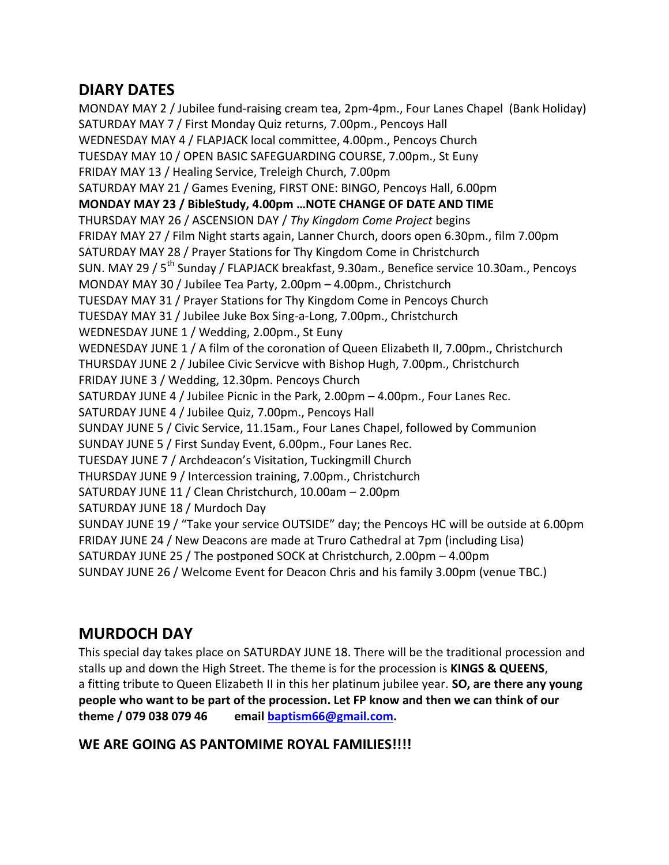## **DIARY DATES**

MONDAY MAY 2 / Jubilee fund-raising cream tea, 2pm-4pm., Four Lanes Chapel (Bank Holiday) SATURDAY MAY 7 / First Monday Quiz returns, 7.00pm., Pencoys Hall WEDNESDAY MAY 4 / FLAPJACK local committee, 4.00pm., Pencoys Church TUESDAY MAY 10 / OPEN BASIC SAFEGUARDING COURSE, 7.00pm., St Euny FRIDAY MAY 13 / Healing Service, Treleigh Church, 7.00pm SATURDAY MAY 21 / Games Evening, FIRST ONE: BINGO, Pencoys Hall, 6.00pm **MONDAY MAY 23 / BibleStudy, 4.00pm …NOTE CHANGE OF DATE AND TIME**  THURSDAY MAY 26 / ASCENSION DAY / *Thy Kingdom Come Project* begins FRIDAY MAY 27 / Film Night starts again, Lanner Church, doors open 6.30pm., film 7.00pm SATURDAY MAY 28 / Prayer Stations for Thy Kingdom Come in Christchurch SUN. MAY 29 / 5<sup>th</sup> Sunday / FLAPJACK breakfast, 9.30am., Benefice service 10.30am., Pencoys MONDAY MAY 30 / Jubilee Tea Party, 2.00pm – 4.00pm., Christchurch TUESDAY MAY 31 / Prayer Stations for Thy Kingdom Come in Pencoys Church TUESDAY MAY 31 / Jubilee Juke Box Sing-a-Long, 7.00pm., Christchurch WEDNESDAY JUNE 1 / Wedding, 2.00pm., St Euny WEDNESDAY JUNE 1 / A film of the coronation of Queen Elizabeth II, 7.00pm., Christchurch THURSDAY JUNE 2 / Jubilee Civic Servicve with Bishop Hugh, 7.00pm., Christchurch FRIDAY JUNE 3 / Wedding, 12.30pm. Pencoys Church SATURDAY JUNE 4 / Jubilee Picnic in the Park, 2.00pm – 4.00pm., Four Lanes Rec. SATURDAY JUNE 4 / Jubilee Quiz, 7.00pm., Pencoys Hall SUNDAY JUNE 5 / Civic Service, 11.15am., Four Lanes Chapel, followed by Communion SUNDAY JUNE 5 / First Sunday Event, 6.00pm., Four Lanes Rec. TUESDAY JUNE 7 / Archdeacon's Visitation, Tuckingmill Church THURSDAY JUNE 9 / Intercession training, 7.00pm., Christchurch SATURDAY JUNE 11 / Clean Christchurch, 10.00am – 2.00pm SATURDAY JUNE 18 / Murdoch Day SUNDAY JUNE 19 / "Take your service OUTSIDE" day; the Pencoys HC will be outside at 6.00pm FRIDAY JUNE 24 / New Deacons are made at Truro Cathedral at 7pm (including Lisa) SATURDAY JUNE 25 / The postponed SOCK at Christchurch, 2.00pm – 4.00pm SUNDAY JUNE 26 / Welcome Event for Deacon Chris and his family 3.00pm (venue TBC.)

## **MURDOCH DAY**

This special day takes place on SATURDAY JUNE 18. There will be the traditional procession and stalls up and down the High Street. The theme is for the procession is **KINGS & QUEENS**, a fitting tribute to Queen Elizabeth II in this her platinum jubilee year. **SO, are there any young people who want to be part of the procession. Let FP know and then we can think of our theme / 079 038 079 46 email [baptism66@gmail.com.](mailto:baptism66@gmail.com)**

### **WE ARE GOING AS PANTOMIME ROYAL FAMILIES!!!!**